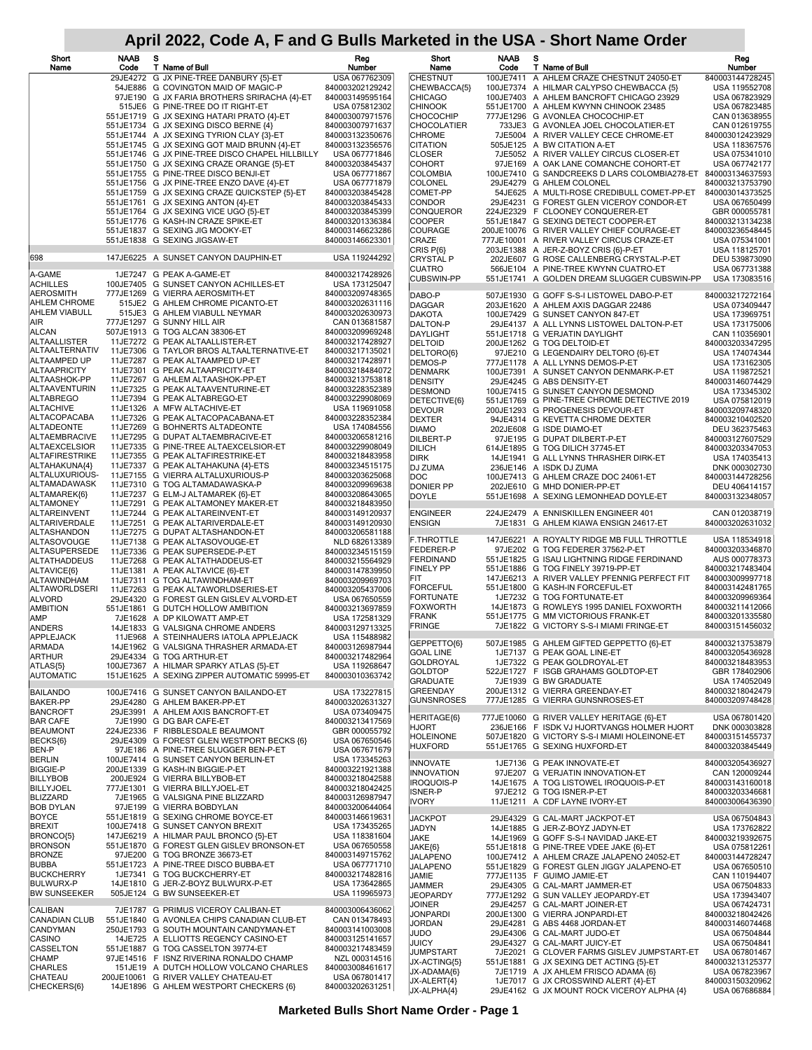| Short<br>Name                                | <b>NAAB</b><br>Code | s<br>T Name of Bull                                                                     | Reg<br>Number                      | Short<br>Name                | <b>NAAB</b><br>Code | s<br>T Name of Bull                                                                        | Reg<br>Number                      |
|----------------------------------------------|---------------------|-----------------------------------------------------------------------------------------|------------------------------------|------------------------------|---------------------|--------------------------------------------------------------------------------------------|------------------------------------|
|                                              |                     | 29JE4272 G JX PINE-TREE DANBURY {5}-ET                                                  | USA 067762309                      | <b>CHESTNUT</b>              |                     | 100JE7411 A AHLEM CRAZE CHESTNUT 24050-ET                                                  | 840003144728245                    |
|                                              |                     | 54JE886 G COVINGTON MAID OF MAGIC-P<br>97JE190 G JX FARIA BROTHERS SRIRACHA {4}-ET      | 840003202129242<br>840003149595164 | CHEWBACCA{5}<br>CHICAGO      |                     | 100JE7374 A HILMAR CALYPSO CHEWBACCA {5}<br>100JE7403 A AHLEM BANCROFT CHICAGO 23929       | USA 119552708<br>USA 067823929     |
|                                              |                     | 515JE6 G PINE-TREE DO IT RIGHT-ET                                                       | USA 075812302                      | <b>CHINOOK</b>               |                     | 551JE1700 A AHLEM KWYNN CHINOOK 23485                                                      | USA 067823485                      |
|                                              |                     | 551JE1719 G JX SEXING HATARI PRATO {4}-ET                                               | 840003007971576                    | CHOCOCHIP                    |                     | 777JE1296 G AVONLEA CHOCOCHIP-ET                                                           | CAN 013638955                      |
|                                              |                     | 551JE1734 G JX SEXING DISCO BERNE {4}                                                   | 840003007971637<br>840003132350676 | CHOCOLATIER<br>CHROME        |                     | 733JE3 G AVONLEA JOEL CHOCOLATIER-ET<br>7JE5004 A RIVER VALLEY CECE CHROME-ET              | CAN 012619755<br>840003012423929   |
|                                              |                     | 551JE1744 A JX SEXING TYRION CLAY {3}-ET<br>551JE1745 G JX SEXING GOT MAID BRUNN {4}-ET | 840003132356576                    | CITATION                     |                     | 505JE125 A BW CITATION A-ET                                                                | USA 118367576                      |
|                                              |                     | 551JE1746 G JX PINE-TREE DISCO CHAPEL HILLBILLY                                         | USA 067771846                      | CLOSER                       |                     | 7JE5052 A RIVER VALLEY CIRCUS CLOSER-ET                                                    | USA 075341010                      |
|                                              |                     | 551JE1750 G JX SEXING CRAZE ORANGE {5}-ET                                               | 840003203845437                    | COHORT                       |                     | 97JE169 A OAK LANE COMANCHE COHORT-ET                                                      | USA 067742177                      |
|                                              |                     | 551JE1755 G PINE-TREE DISCO BENJI-ET<br>551JE1756 G JX PINE-TREE ENZO DAVE {4}-ET       | USA 067771867<br>USA 067771879     | COLOMBIA<br>COLONEL          |                     | 100JE7410 G SANDCREEKS D LARS COLOMBIA278-ET<br>29JE4279 G AHLEM COLONEL                   | 840003134637593<br>840003213753790 |
|                                              |                     | 551JE1759 G JX SEXING CRAZE QUICKSTEP {5}-ET                                            | 840003203845428                    | COMET-PP                     |                     | 54JE625 A MULTI-ROSE CREDIBULL COMET-PP-ET                                                 | 840003014373525                    |
|                                              |                     | 551JE1761 G JX SEXING ANTON {4}-ET                                                      | 840003203845433                    | CONDOR                       |                     | 29JE4231 G FOREST GLEN VICEROY CONDOR-ET                                                   | USA 067650499                      |
|                                              |                     | 551JE1764 G JX SEXING VICE UGO {5}-ET<br>551JE1776 G KASH-IN CRAZE SPIKE-ET             | 840003203845399<br>840003201336384 | CONQUEROR<br>COOPER          |                     | 224JE2329 F CLOONEY CONQUERER-ET<br>551JE1847 G SEXING DETECT COOPER-ET                    | GBR 000055781<br>840003213134238   |
|                                              |                     | 551JE1837 G SEXING JIG MOOKY-ET                                                         | 840003146623286                    | COURAGE                      |                     | 200JE10076 G RIVER VALLEY CHIEF COURAGE-ET                                                 | 840003236548445                    |
|                                              |                     | 551JE1838 G SEXING JIGSAW-ET                                                            | 840003146623301                    | CRAZE                        |                     | 777JE10001 A RIVER VALLEY CIRCUS CRAZE-ET                                                  | USA 075341001                      |
| 698                                          |                     | 147JE6225 A SUNSET CANYON DAUPHIN-ET                                                    | USA 119244292                      | CRIS P{6}<br>CRYSTAL P       |                     | 203JE1388 A JER-Z-BOYZ CRIS {6}-P-ET<br>202JE607 G ROSE CALLENBERG CRYSTAL-P-ET            | USA 118125701<br>DEU 539873090     |
|                                              |                     |                                                                                         |                                    | CUATRO                       |                     | 566JE104 A PINE-TREE KWYNN CUATRO-ET                                                       | USA 067731388                      |
| A-GAME<br>ACHILLES                           |                     | 1JE7247 G PEAK A-GAME-ET<br>100JE7405 G SUNSET CANYON ACHILLES-ET                       | 840003217428926<br>USA 173125047   | CUBSWIN-PP                   |                     | 551JE1741 A GOLDEN DREAM SLUGGER CUBSWIN-PP                                                | USA 173083516                      |
| <b>AEROSMITH</b>                             |                     | 777JE1269 G VIERRA AEROSMITH-ET                                                         | 840003209748365                    | DABO-P                       |                     | 507JE1930 G GOFF S-S-I LISTOWEL DABO-P-ET                                                  | 840003217272164                    |
| AHLEM CHROME                                 |                     | 515JE2 G AHLEM CHROME PICANTO-ET                                                        | 840003202631116                    | <b>DAGGAR</b>                |                     | 203JE1620 A AHLEM AXIS DAGGAR 22486                                                        | USA 073409447                      |
| AHLEM VIABULL                                |                     | 515JE3 G AHLEM VIABULL NEYMAR<br>777JE1297 G SUNNY HILL AIR                             | 840003202630973                    | DAKOTA                       |                     | 100JE7429 G SUNSET CANYON 847-ET                                                           | USA 173969751                      |
| AIR<br>ALCAN                                 |                     | 507JE1913 G TOG ALCAN 38306-ET                                                          | CAN 013681587<br>840003209969248   | DALTON-P<br><b>DAYLIGHT</b>  |                     | 29JE4137 A ALL LYNNS LISTOWEL DALTON-P-ET<br>551JE1718 G VERJATIN DAYLIGHT                 | USA 173175006<br>CAN 110356901     |
| ALTAALLISTER                                 |                     | 11JE7272 G PEAK ALTAALLISTER-ET                                                         | 840003217428927                    | DELTOID                      |                     | 200JE1262 G TOG DELTOID-ET                                                                 | 840003203347295                    |
| ALTAALTERNATIV                               |                     | 11JE7306 G TAYLOR BROS ALTAALTERNATIVE-ET                                               | 840003217135021                    | DELTORO{6}                   |                     | 97JE210 G LEGENDAIRY DELTORO {6}-ET                                                        | USA 174074344                      |
| ALTAAMPED UP<br><b>ALTAAPRICITY</b>          |                     | 11JE7287 G PEAK ALTAAMPED UP-ET<br>11JE7301 G PEAK ALTAAPRICITY-ET                      | 840003217428971<br>840003218484072 | DEMOS-P<br>DENMARK           |                     | 777JE1178 A ALL LYNNS DEMOS-P-ET<br>100JE7391 A SUNSET CANYON DENMARK-P-ET                 | USA 173162305<br>USA 119872521     |
| ALTAASHOK-PP                                 |                     | 11JE7267 G AHLEM ALTAASHOK-PP-ET                                                        | 840003213753818                    | <b>DENSITY</b>               |                     | 29JE4245 G ABS DENSITY-ET                                                                  | 840003146074429                    |
| ALTAAVENTURIN                                |                     | 11JE7325 G PEAK ALTAAVENTURINE-ET                                                       | 840003228352389                    | <b>DESMOND</b>               |                     | 100JE7415 G SUNSET CANYON DESMOND                                                          | USA 173345302                      |
| <b>ALTABREGO</b><br>ALTACHIVE                |                     | 11JE7394 G PEAK ALTABREGO-ET<br>11JE1326 A MFW ALTACHIVE-ET                             | 840003229908069<br>USA 119691058   | DETECTIVE{6}                 |                     | 551JE1769 G PINE-TREE CHROME DETECTIVE 2019                                                | USA 075812019                      |
| ALTACOPACABA                                 |                     | 11JE7326 G PEAK ALTACOPACABANA-ET                                                       | 840003228352384                    | DEVOUR<br><b>DEXTER</b>      |                     | 200JE1293 G PROGENESIS DEVOUR-ET<br>94JE4314 G KEVETTA CHROME DEXTER                       | 840003209748320<br>840003210402520 |
| ALTADEONTE                                   |                     | 11JE7269 G BOHNERTS ALTADEONTE                                                          | USA 174084556                      | DIAMO                        |                     | 202JE608 G ISDE DIAMO-ET                                                                   | DEU 362375463                      |
| <b>ALTAEMBRACIVE</b><br><b>ALTAEXCELSIOR</b> |                     | 11JE7295 G DUPAT ALTAEMBRACIVE-ET<br>11JE7335 G PINE-TREE ALTAEXCELSIOR-ET              | 840003206581216<br>840003229908049 | DILBERT-P                    |                     | 97JE195 G DUPAT DILBERT-P-ET                                                               | 840003127607529                    |
| ALTAFIRESTRIKE                               |                     | 11JE7355 G PEAK ALTAFIRESTRIKE-ET                                                       | 840003218483958                    | DILICH<br>DIRK               |                     | 614JE1895 G TOG DILICH 37745-ET<br>14JE1941 G ALL LYNNS THRASHER DIRK-ET                   | 840003203347053<br>USA 174035413   |
| ALTAHAKUNA{4}                                |                     | 11JE7337 G PEAK ALTAHAKUNA {4}-ETS                                                      | 840003234515175                    | DJ ZUMA                      |                     | 236JE146 A ISDK DJ ZUMA                                                                    | DNK 000302730                      |
| ALTALUXURIOUS-                               |                     | 11JE7155 G VIERRA ALTALUXURIOUS-P                                                       | 840003203625068                    | DOC                          |                     | 100JE7413 G AHLEM CRAZE DOC 24061-ET                                                       | 840003144728256                    |
| ALTAMADAWASK<br>ALTAMAREK{6}                 |                     | 11JE7310 G TOG ALTAMADAWASKA-P<br>11JE7237 G ELM-J ALTAMAREK {6}-ET                     | 840003209969638<br>840003208643065 | DONIER PP<br>DOYLE           |                     | 202JE610 G MHD DONIER-PP-ET<br>551JE1698 A SEXING LEMONHEAD DOYLE-ET                       | DEU 406414157<br>840003132348057   |
| <b>ALTAMONEY</b>                             |                     | 11JE7291 G PEAK ALTAMONEY MAKER-ET                                                      | 840003218483950                    |                              |                     |                                                                                            |                                    |
| ALTAREINVENT                                 |                     | 11JE7244 G PEAK ALTAREINVENT-ET                                                         | 840003149120937                    | ENGINEER                     |                     | 224JE2479 A ENNISKILLEN ENGINEER 401                                                       | CAN 012038719                      |
| ALTARIVERDALE<br>ALTASHANDON                 |                     | 11JE7251 G PEAK ALTARIVERDALE-ET<br>11JE7275 G DUPAT ALTASHANDON-ET                     | 840003149120930<br>840003206581188 | ENSIGN                       |                     | 7JE1831 G AHLEM KIAWA ENSIGN 24617-ET                                                      | 840003202631032                    |
| ALTASOVOUGE                                  |                     | 11JE7138 G PEAK ALTASOVOUGE-ET                                                          | NLD 682613389                      | F.THROTTLE                   |                     | 147JE6221 A ROYALTY RIDGE MB FULL THROTTLE                                                 | USA 118534918                      |
| ALTASUPERSEDE                                |                     | 11JE7336 G PEAK SUPERSEDE-P-ET                                                          | 840003234515159                    | FEDERER-P<br>FERDINAND       |                     | 97JE202 G TOG FEDERER 37562-P-ET<br>551JE1825 G ISAU LIGHTNING RIDGE FERDINAND             | 840003203346870<br>AUS 000778373   |
| ALTATHADDEUS<br>ALTAVICE{6}                  |                     | 11JE7268 G PEAK ALTATHADDEUS-ET<br>11JE1381 A PEAK ALTAVICE {6}-ET                      | 840003215564929<br>840003147839950 | FINELY PP                    |                     | 551JE1886 G TOG FINELY 39719-PP-ET                                                         | 840003217483404                    |
| <b>ALTAWINDHAM</b>                           |                     | 11JE7311 G TOG ALTAWINDHAM-ET                                                           | 840003209969703                    | FIT                          |                     | 147JE6213 A RIVER VALLEY PFENNIG PERFECT FIT                                               | 840003009997718                    |
| ALTAWORLDSERI                                |                     | 11JE7263 G PEAK ALTAWORLDSERIES-ET                                                      | 840003205437006                    | FORCEFUL<br><b>FORTUNATE</b> |                     | 551JE1800 G KASH-IN FORCEFUL-ET<br>1JE7232 G TOG FORTUNATE-ET                              | 840003142481765<br>840003209969364 |
| ALVORD<br>AMBITION                           |                     | 29JE4320 G FOREST GLEN GISLEV ALVORD-ET<br>551JE1861 G DUTCH HOLLOW AMBITION            | USA 067650559<br>840003213697859   | FOXWORTH                     |                     | 14JE1873 G ROWLEYS 1995 DANIEL FOXWORTH                                                    | 840003211412066                    |
| AMP                                          |                     | 7JE1628 A DP KILOWATT AMP-ET                                                            | USA 172581329                      | FRANK                        |                     | 551JE1775 G MM VICTORIOUS FRANK-ET                                                         | 840003201335580                    |
| ANDERS                                       |                     | 14JE1833 G VALSIGNA CHROME ANDERS                                                       | 840003129713325                    | FRINGE                       |                     | 7JE1822 G VICTORY S-S-I MIAMI FRINGE-ET                                                    | 840003151456032                    |
| APPLEJACK<br>ARMADA                          |                     | 11JE968 A STEINHAUERS IATOLA APPLEJACK<br>14JE1962 G VALSIGNA THRASHER ARMADA-ET        | USA 115488982<br>840003126987944   | GEPPETTO(6)                  |                     | 507JE1985 G AHLEM GIFTED GEPPETTO {6}-ET                                                   | 840003213753879                    |
| <b>ARTHUR</b>                                |                     | 29JE4334 G TOG ARTHUR-ET                                                                | 840003217482964                    | GOAL LINE                    |                     | 1JE7137 G PEAK GOAL LINE-ET                                                                | 840003205436928                    |
| ATLAS{5}                                     |                     | 100JE7367 A HILMAR SPARKY ATLAS {5}-ET                                                  | USA 119268647                      | GOLDROYAL<br>GOLDTOP         |                     | 1JE7322 G PEAK GOLDROYAL-ET<br>522JE1727 F ISGB GRAHAMS GOLDTOP-ET                         | 840003218483953<br>GBR 178402906   |
| <b>AUTOMATIC</b>                             |                     | 151JE1625 A SEXING ZIPPER AUTOMATIC 59995-ET                                            | 840003010363742                    | <b>GRADUATE</b>              |                     | 7JE1939 G BW GRADUATE                                                                      | USA 174052049                      |
| <b>BAILANDO</b>                              |                     | 100JE7416 G SUNSET CANYON BAILANDO-ET                                                   | USA 173227815                      | <b>GREENDAY</b>              |                     | 200JE1312 G VIERRA GREENDAY-ET                                                             | 840003218042479                    |
| <b>BAKER-PP</b><br><b>BANCROFT</b>           |                     | 29JE4280 G AHLEM BAKER-PP-ET                                                            | 840003202631327                    | GUNSNROSES                   |                     | 777JE1285 G VIERRA GUNSNROSES-ET                                                           | 840003209748428                    |
| <b>BAR CAFE</b>                              |                     | 29JE3991 A AHLEM AXIS BANCROFT-ET<br>7JE1990 G DG BAR CAFE-ET                           | USA 073409475<br>840003213417569   | HERITAGE{6}                  |                     | 777JE10060 G RIVER VALLEY HERITAGE {6}-ET                                                  | USA 067801420                      |
| <b>BEAUMONT</b>                              |                     | 224JE2336 F RIBBLESDALE BEAUMONT                                                        | GBR 000055792                      | HJORT<br>HOLEINONE           |                     | 236JE166 F ISDK VJ HJORTVANGS HOLMER HJORT<br>507JE1820 G VICTORY S-S-I MIAMI HOLEINONE-ET | DNK 000303828                      |
| BECKS{6}                                     |                     | 29JE4309 G FOREST GLEN WESTPORT BECKS {6}                                               | USA 067650546                      | HUXFORD                      |                     | 551JE1765 G SEXING HUXFORD-ET                                                              | 840003151455737<br>840003203845449 |
| BEN-P<br><b>BERLIN</b>                       |                     | 97JE186 A PINE-TREE SLUGGER BEN-P-ET<br>100JE7414 G SUNSET CANYON BERLIN-ET             | USA 067671679<br>USA 173345263     |                              |                     |                                                                                            |                                    |
| <b>BIGGIE-P</b>                              |                     | 200JE1339 G KASH-IN BIGGIE-P-ET                                                         | 840003221921388                    | INNOVATE<br>INNOVATION       |                     | 1JE7136 G PEAK INNOVATE-ET<br>97JE207 G VERJATIN INNOVATION-ET                             | 840003205436927<br>CAN 120009244   |
| <b>BILLYBOB</b>                              |                     | 200JE924 G VIERRA BILLYBOB-ET                                                           | 840003218042588                    | <b>IROQUOIS-P</b>            |                     | 14JE1675 A TOG LISTOWEL IROQUOIS-P-ET                                                      | 840003143160018                    |
| <b>BILLYJOEL</b><br><b>BLIZZARD</b>          |                     | 777JE1301 G VIERRA BILLYJOEL-ET<br>7JE1965 G VALSIGNA PINE BLIZZARD                     | 840003218042425<br>840003126987947 | <b>ISNER-P</b>               |                     | 97JE212 G TOG ISNER-P-ET                                                                   | 840003203346681                    |
| <b>BOB DYLAN</b>                             |                     | 97JE199 G VIERRA BOBDYLAN                                                               | 840003200644064                    | IVORY                        |                     | 11JE1211 A CDF LAYNE IVORY-ET                                                              | 840003006436390                    |
| <b>BOYCE</b>                                 |                     | 551JE1819 G SEXING CHROME BOYCE-ET                                                      | 840003146619631                    | <b>JACKPOT</b>               |                     | 29JE4329 G CAL-MART JACKPOT-ET                                                             | USA 067504843                      |
| <b>BREXIT</b><br>BRONCO{5}                   |                     | 100JE7418 G SUNSET CANYON BREXIT<br>147JE6219 A HILMAR PAUL BRONCO {5}-ET               | USA 173435265<br>USA 118381604     | JADYN                        |                     | 14JE1885 G JER-Z-BOYZ JADYN-ET                                                             | USA 173762822                      |
| <b>BRONSON</b>                               |                     | 551JE1870 G FOREST GLEN GISLEV BRONSON-ET                                               | USA 067650558                      | JAKE<br>JAKE{6}              |                     | 14JE1969 G GOFF S-S-I NAVIDAD JAKE-ET<br>551JE1818 G PINE-TREE VDEE JAKE {6}-ET            | 840003219392675<br>USA 075812261   |
| <b>BRONZE</b>                                |                     | 97JE200 G TOG BRONZE 36673-ET                                                           | 840003149715762                    | <b>JALAPENO</b>              |                     | 100JE7412 A AHLEM CRAZE JALAPENO 24052-ET                                                  | 840003144728247                    |
| <b>BUBBA</b><br><b>BUCKCHERRY</b>            |                     | 551JE1723 A PINE-TREE DISCO BUBBA-ET<br>1JE7341 G TOG BUCKCHERRY-ET                     | USA 067771710<br>840003217482816   | <b>JALAPENO</b>              |                     | 551JE1829 G FOREST GLEN JIGGY JALAPENO-ET                                                  | USA 067650510                      |
| <b>BULWURX-P</b>                             |                     | 14JE1810 G JER-Z-BOYZ BULWURX-P-ET                                                      | USA 173642865                      | JAMIE<br>JAMMER              |                     | 777JE1135 F GUIMO JAMIE-ET<br>29JE4305 G CAL-MART JAMMER-ET                                | CAN 110194407<br>USA 067504833     |
| <b>BW SUNSEEKER</b>                          |                     | 505JE124 G BW SUNSEEKER-ET                                                              | USA 119965973                      | <b>JEOPARDY</b>              |                     | 777JE1292 G SUN VALLEY JEOPARDY-ET                                                         | USA 173943407                      |
| CALIBAN                                      |                     | 7JE1787 G PRIMUS VICEROY CALIBAN-ET                                                     | 840003006436062                    | JOINER                       |                     | 29JE4257 G CAL-MART JOINER-ET                                                              | USA 067424731                      |
| CANADIAN CLUB                                |                     | 551JE1840 G AVONLEA CHIPS CANADIAN CLUB-ET                                              | CAN 013478493                      | <b>JONPARDI</b><br>JORDAN    |                     | 200JE1300 G VIERRA JONPARDI-ET<br>29JE4281 G ABS 4468 JORDAN-ET                            | 840003218042426<br>840003146074468 |
| CANDYMAN                                     |                     | 250JE1793 G SOUTH MOUNTAIN CANDYMAN-ET                                                  | 840003141003008                    | JUDO                         |                     | 29JE4306 G CAL-MART JUDO-ET                                                                | USA 067504844                      |
| CASINO<br>CASSELTON                          |                     | 14JE725 A ELLIOTTS REGENCY CASINO-ET<br>551JE1887 G TOG CASSELTON 39774-ET              | 840003125141657<br>840003217483459 | JUICY                        |                     | 29JE4327 G CAL-MART JUICY-ET                                                               | USA 067504841                      |
| CHAMP                                        |                     | 97JE14516 F ISNZ RIVERINA RONALDO CHAMP                                                 | NZL 000314516                      | JUMPSTART<br>JX-ACTING{5}    |                     | 7JE2021 G CLOVER FARMS GISLEV JUMPSTART-ET<br>551JE1881 G JX SEXING DET ACTING {5}-ET      | USA 067801467<br>840003213125377   |
| <b>CHARLES</b>                               |                     | 151JE19 A DUTCH HOLLOW VOLCANO CHARLES                                                  | 840003008461617                    | JX-ADAMA{6}                  |                     | 7JE1719 A JX AHLEM FRISCO ADAMA {6}                                                        | USA 067823967                      |
| CHATEAU<br>CHECKERS{6}                       |                     | 200JE10061 G RIVER VALLEY CHATEAU-ET<br>14JE1896 G AHLEM WESTPORT CHECKERS {6}          | USA 067801417<br>840003202631251   | JX-ALERT{4}                  |                     | 1JE7017 G JX CROSSWIND ALERT {4}-ET                                                        | 840003150320962                    |
|                                              |                     |                                                                                         |                                    | JX-ALPHA{4}                  |                     | 29JE4162 G JX MOUNT ROCK VICEROY ALPHA {4}                                                 | USA 067686884                      |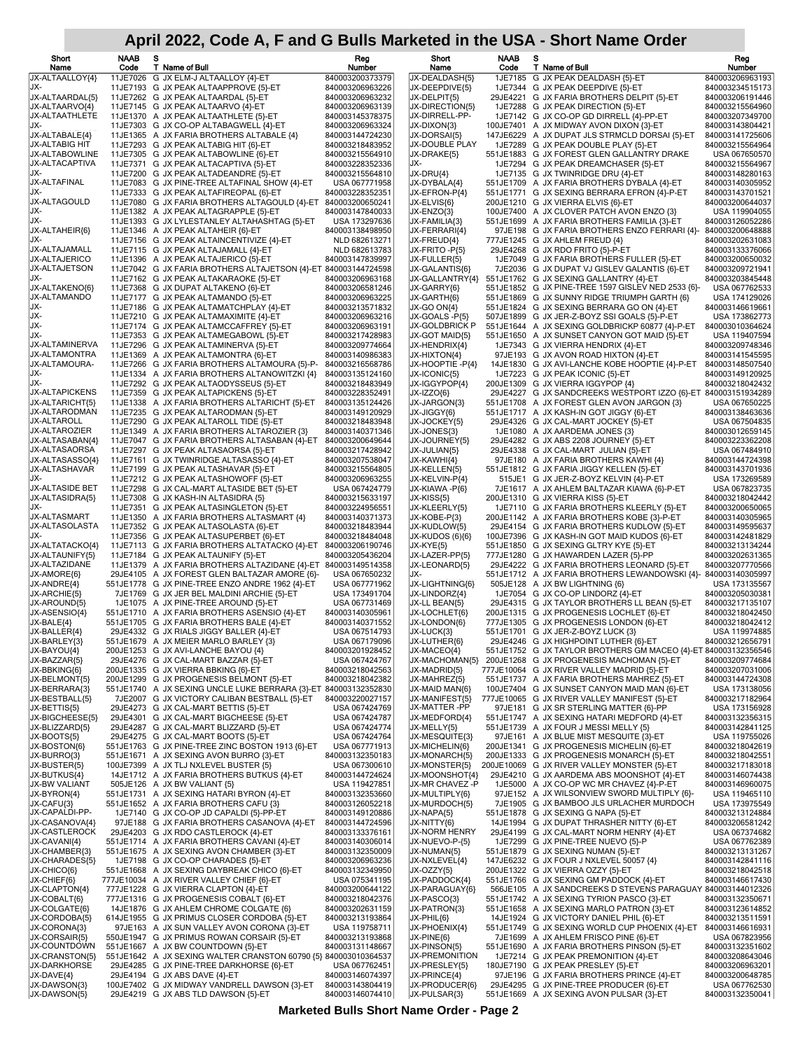| Short<br>Name                           | <b>NAAB</b><br>Code | s<br>T Name of Bull                                                                                         | Reg<br>Number                      | Short<br>Name                          | <b>NAAB</b><br>Code | s<br>T Name of Bull                                                                                         | Reg<br>Number                      |
|-----------------------------------------|---------------------|-------------------------------------------------------------------------------------------------------------|------------------------------------|----------------------------------------|---------------------|-------------------------------------------------------------------------------------------------------------|------------------------------------|
| JX-ALTAALLOY{4}                         |                     | 11JE7026 G JX ELM-J ALTAALLOY {4}-ET                                                                        | 840003200373379                    | JX-DEALDASH{5}                         |                     | 1JE7185 G JX PEAK DEALDASH {5}-ET                                                                           | 840003206963193                    |
| JX-                                     |                     | 11JE7193 G JX PEAK ALTAAPPROVE {5}-ET                                                                       | 840003206963226                    | JX-DEEPDIVE{5}                         |                     | 1JE7344 G JX PEAK DEEPDIVE {5}-ET                                                                           | 840003234515173                    |
| JX-ALTAARDAL{5}<br>JX-ALTAARVO{4}       |                     | 11JE7262 G JX PEAK ALTAARDAL {5}-ET<br>11JE7145 G JX PEAK ALTAARVO {4}-ET                                   | 840003206963232<br>840003206963139 | JX-DELPIT{5}<br>JX-DIRECTION{5}        |                     | 29JE4221 G JX FARIA BROTHERS DELPIT {5}-ET<br>1JE7288 G JX PEAK DIRECTION {5}-ET                            | 840003206191446<br>840003215564960 |
| JX-ALTAATHLETE                          |                     | 11JE1370 A JX PEAK ALTAATHLETE {5}-ET                                                                       | 840003145378375                    | JX-DIRRELL-PP-                         |                     | 1JE7142 G JX CO-OP GD DIRRELL {4}-PP-ET                                                                     | 840003207349700                    |
| JX-                                     |                     | 11JE7303 G JX CO-OP ALTABAGWELL {4}-ET                                                                      | 840003206963324                    | JX-DIXON{3}                            |                     | 100JE7401 A JX MIDWAY AVON DIXON {3}-ET                                                                     | 840003143804421                    |
| JX-ALTABALE{4}                          |                     | 11JE1365 A JX FARIA BROTHERS ALTABALE {4}                                                                   | 840003144724230                    | JX-DORSAI{5}                           |                     | 147JE6229 A JX DUPAT JLS STRMCLD DORSAI {5}-ET                                                              | 840003141725606                    |
| JX-ALTABIG HIT<br><b>JX-ALTABOWLINE</b> |                     | 11JE7293 G JX PEAK ALTABIG HIT {6}-ET<br>11JE7305 G JX PEAK ALTABOWLINE {6}-ET                              | 840003218483952<br>840003215564910 | JX-DOUBLE PLAY<br>JX-DRAKE{5}          |                     | 1JE7289 G JX PEAK DOUBLE PLAY {5}-ET<br>551JE1883 G JX FOREST GLEN GALLANTRY DRAKE                          | 840003215564964<br>USA 067650570   |
| JX-ALTACAPTIVA                          |                     | 11JE7371 G JX PEAK ALTACAPTIVA {5}-ET                                                                       | 840003228352336                    | JX-                                    |                     | 1JE7294 G JX PEAK DREAMCHASER {5}-ET                                                                        | 840003215564967                    |
| JX-                                     |                     | 11JE7200 G JX PEAK ALTADEANDRE {5}-ET                                                                       | 840003215564810                    | JX-DRU{4}                              |                     | 1JE7135 G JX TWINRIDGE DRU {4}-ET                                                                           | 840003148280163                    |
| JX-ALTAFINAL<br>JX-                     |                     | 11JE7083 G JX PINE-TREE ALTAFINAL SHOW {4}-ET<br>11JE7333 G JX PEAK ALTAFIREOPAL {6}-ET                     | USA 067771958<br>840003228352351   | JX-DYBALA{4}<br>JX-EFRON-P{4}          |                     | 551JE1709 A JX FARIA BROTHERS DYBALA {4}-ET<br>551JE1771 G JX SEXING BERRARA EFRON {4}-P-ET                 | 840003140305952<br>840003143701521 |
| JX-ALTAGOULD                            |                     | 11JE7080 G JX FARIA BROTHERS ALTAGOULD {4}-ET                                                               | 840003200650241                    | JX-ELVIS{6}                            |                     | 200JE1210 G JX VIERRA ELVIS {6}-ET                                                                          | 840003200644037                    |
| JX-                                     |                     | 11JE1382 A JX PEAK ALTAGRAPPLE {5}-ET                                                                       | 840003147840033                    | JX-ENZO{3}                             |                     | 100JE7400 A JX CLOVER PATCH AVON ENZO {3}                                                                   | USA 119904055                      |
| JX-<br>JX-ALTAHEIR{6}                   |                     | 11JE1393 G JX LYLESTANLEY ALTAHASHTAG {5}-ET<br>11JE1346 A JX PEAK ALTAHEIR {6}-ET                          | USA 173297636<br>840003138498950   | JX-FAMILIA{3}<br>JX-FERRARI{4}         |                     | 551JE1699 A JX FARIA BROTHERS FAMILIA {3}-ET<br>97JE198 G JX FARIA BROTHERS ENZO FERRARI {4}-               | 840003126052286<br>840003200648888 |
| JX-                                     |                     | 11JE7156 G JX PEAK ALTAINCENTIVIZE {4}-ET                                                                   | NLD 682613271                      | JX-FREUD{4}                            |                     | 777JE1245 G JX AHLEM FREUD {4}                                                                              | 840003202631083                    |
| JX-ALTAJAMALL                           |                     | 11JE7115 G JX PEAK ALTAJAMALL {4}-ET                                                                        | NLD 682613783                      | JX-FRITO -P{5}                         |                     | 29JE4268 G JX RDO FRITO {5}-P-ET                                                                            | 840003133376066                    |
| JX-ALTAJERICO<br><b>JX-ALTAJETSON</b>   |                     | 11JE1396 A JX PEAK ALTAJERICO {5}-ET<br>11JE7042 G JX FARIA BROTHERS ALTAJETSON {4}-ET 840003144724598      | 840003147839997                    | JX-FULLER{5}<br>JX-GALANTIS{6}         |                     | 1JE7049 G JX FARIA BROTHERS FULLER {5}-ET<br>7JE2036 G JX DUPAT VJ GISLEV GALANTIS {6}-ET                   | 840003200650032<br>840003209721941 |
| JX-                                     |                     | 11JE7162 G JX PEAK ALTAKARAOKE {5}-ET                                                                       | 840003206963168                    | JX-GALLANTRY{4}                        |                     | 551JE1762 G JX SEXING GALLANTRY {4}-ET                                                                      | 840003203845448                    |
| JX-ALTAKENO{6}                          |                     | 11JE7368 G JX DUPAT ALTAKENO {6}-ET                                                                         | 840003206581246                    | JX-GARRY{6}                            |                     | 551JE1852 G JX PINE-TREE 1597 GISLEV NED 2533 {6}-                                                          | USA 067762533                      |
| JX-ALTAMANDO                            |                     | 11JE7177 G JX PEAK ALTAMANDO {5}-ET                                                                         | 840003206963225                    | JX-GARTH{6}                            |                     | 551JE1869 G JX SUNNY RIDGE TRIUMPH GARTH {6}                                                                | USA 174129026                      |
| JX-<br>JX-                              |                     | 11JE7186 G JX PEAK ALTAMATCHPLAY {4}-ET<br>11JE7210 G JX PEAK ALTAMAXIMITE {4}-ET                           | 840003213571832<br>840003206963216 | JX-GO ON{4}<br>JX-GOALS -P{5}          |                     | 551JE1824 G JX SEXING BERRARA GO ON {4}-ET<br>507JE1899 G JX JER-Z-BOYZ SSI GOALS {5}-P-ET                  | 840003146619661<br>USA 173862773   |
| JX-                                     |                     | 11JE7174 G JX PEAK ALTAMCCAFFREY {5}-ET                                                                     | 840003206963191                    | JX-GOLDBRICK P                         |                     | 551JE1644 A JX SEXING GOLDBRICKP 60877 {4}-P-ET                                                             | 840003010364624                    |
| JX-                                     |                     | 11JE7353 G JX PEAK ALTAMEGABOWL {5}-ET                                                                      | 840003217428983                    | JX-GOT MAID{5}                         |                     | 551JE1650 A JX SUNSET CANYON GOT MAID {5}-ET                                                                | USA 119407594                      |
| JX-ALTAMINERVA<br>JX-ALTAMONTRA         |                     | 11JE7296 G JX PEAK ALTAMINERVA {5}-ET<br>11JE1369 A JX PEAK ALTAMONTRA {6}-ET                               | 840003209774664<br>840003140986383 | JX-HENDRIX{4}                          |                     | 1JE7343 G JX VIERRA HENDRIX {4}-ET<br>97JE193 G JX AVON ROAD HIXTON {4}-ET                                  | 840003209748346<br>840003141545595 |
| JX-ALTAMOURA-                           |                     | 11JE7266 G JX FARIA BROTHERS ALTAMOURA {5}-P-                                                               | 840003216568786                    | JX-HIXTON{4}<br>JX-HOOPTIE-P{4}        |                     | 14JE1830 G JX AVI-LANCHE KOBE HOOPTIE {4}-P-ET                                                              | 840003148507540                    |
| JX-                                     |                     | 11JE1334 A JX FARIA BROTHERS ALTANOWITZKI {4}                                                               | 840003135124160                    | JX-ICONIC{5}                           |                     | 1JE7223 G JX PEAK ICONIC {5}-ET                                                                             | 840003149120925                    |
| JX-<br>JX-ALTAPICKENS                   |                     | 11JE7292 G JX PEAK ALTAODYSSEUS {5}-ET                                                                      | 840003218483949                    | JX-IGGYPOP{4}                          |                     | 200JE1309 G JX VIERRA IGGYPOP {4}                                                                           | 840003218042432                    |
| JX-ALTARICHT{5}                         |                     | 11JE7359 G JX PEAK ALTAPICKENS {5}-ET<br>11JE1338 A JX FARIA BROTHERS ALTARICHT {5}-ET                      | 840003228352491<br>840003135124426 | JX-IZZO{6}<br>JX-JARGON{3}             |                     | 29JE4227 G JX SANDCREEKS WESTPORT IZZO {6}-ET 840003151934289<br>551JE1708 A JX FOREST GLEN AVON JARGON {3} | USA 067650225                      |
| JX-ALTARODMAN                           |                     | 11JE7235 G JX PEAK ALTARODMAN {5}-ET                                                                        | 840003149120929                    | JX-JIGGY{6}                            |                     | 551JE1717 A JX KASH-IN GOT JIGGY {6}-ET                                                                     | 840003138463636                    |
| JX-ALTAROLL                             |                     | 11JE7290 G JX PEAK ALTAROLL TIDE {5}-ET                                                                     | 840003218483948                    | JX-JOCKEY{5}                           |                     | 29JE4326 G JX CAL-MART JOCKEY {5}-ET                                                                        | USA 067504835                      |
| <b>JX-ALTAROZIER</b><br>JX-ALTASABAN{4} |                     | 11JE1349 A JX FARIA BROTHERS ALTAROZIER {3}<br>11JE7047 G JX FARIA BROTHERS ALTASABAN {4}-ET                | 840003140371346<br>840003200649644 | JX-JONES{3}<br>JX-JOURNEY{5}           |                     | 1JE1080 A JX AARDEMA JONES {3}<br>29JE4282 G JX ABS 2208 JOURNEY {5}-ET                                     | 840003012659145<br>840003223362208 |
| JX-ALTASAORSA                           |                     | 11JE7297 G JX PEAK ALTASAORSA {5}-ET                                                                        | 840003217428942                    | JX-JULIAN{5}                           |                     | 29JE4338 G JX CAL-MART JULIAN {5}-ET                                                                        | USA 067484910                      |
| JX-ALTASASSO{4}                         |                     | 11JE7161 G JX TWINRIDGE ALTASASSO {4}-ET                                                                    | 840003207538047                    | JX-KAWHI{4}                            |                     | 97JE180 A JX FARIA BROTHERS KAWHI {4}                                                                       | 840003144724398                    |
| JX-ALTASHAVAR<br>JX-                    |                     | 11JE7199 G JX PEAK ALTASHAVAR {5}-ET<br>11JE7212 G JX PEAK ALTASHOWOFF {5}-ET                               | 840003215564805<br>840003206963255 | JX-KELLEN{5}<br>JX-KELVIN-P{4}         |                     | 551JE1812 G JX FARIA JIGGY KELLEN {5}-ET<br>515JE1 G JX JER-Z-BOYZ KELVIN {4}-P-ET                          | 840003143701936<br>USA 173269589   |
| <b>JX-ALTASIDE BET</b>                  |                     | 11JE7298 G JX CAL-MART ALTASIDE BET {5}-ET                                                                  | USA 067424779                      | JX-KIAWA -P{6}                         |                     | 7JE1617 A JX AHLEM BALTAZAR KIAWA {6}-P-ET                                                                  | USA 067823735                      |
| JX-ALTASIDRA{5}                         |                     | 11JE7308 G JX KASH-IN ALTASIDRA {5}                                                                         | 840003215633197                    | JX-KISS{5}                             |                     | 200JE1310 G JX VIERRA KISS {5}-ET                                                                           | 840003218042442                    |
| JX-<br>JX-ALTASMART                     |                     | 11JE7351 G JX PEAK ALTASINGLETON {5}-ET                                                                     | 840003224956551                    | JX-KLEERLY{5}                          |                     | 1JE7110 G JX FARIA BROTHERS KLEERLY {5}-ET                                                                  | 840003200650065                    |
| JX-ALTASOLASTA                          |                     | 11JE1350 A JX FARIA BROTHERS ALTASMART {4}<br>11JE7352 G JX PEAK ALTASOLASTA {6}-ET                         | 840003140371373<br>840003218483944 | JX-KOBE-P{3}<br>JX-KUDLOW{5}           |                     | 200JE1142 A JX FARIA BROTHERS KOBE {3}-P-ET<br>29JE4154 G JX FARIA BROTHERS KUDLOW {5}-ET                   | 840003140305965<br>840003149595637 |
| JX-                                     |                     | 11JE7356 G JX PEAK ALTASUPERBET {6}-ET                                                                      | 840003218484048                    | JX-KUDOS (6){6}                        |                     | 100JE7396 G JX KASH-IN GOT MAID KUDOS {6}-ET                                                                | 840003142481829                    |
| JX-ALTATACKO{4}                         |                     | 11JE7113 G JX FARIA BROTHERS ALTATACKO {4}-ET                                                               | 840003206190746                    | JX-KYE{5}                              |                     | 551JE1850 G JX SEXING GLTRY KYE {5}-ET                                                                      | 840003213134244                    |
| JX-ALTAUNIFY{5}<br>JX-ALTAZIDANE        |                     | 11JE7184 G JX PEAK ALTAUNIFY {5}-ET<br>11JE1379 A JX FARIA BROTHERS ALTAZIDANE {4}-ET 840003149514358       | 840003205436204                    | JX-LAZER-PP{5}<br>JX-LEONARD{5}        |                     | 777JE1280 G JX HAWARDEN LAZER {5}-PP<br>29JE4222 G JX FARIA BROTHERS LEONARD {5}-ET                         | 840003202631365<br>840003207770566 |
| JX-AMORE{6}                             |                     | 29JE4105 A JX FOREST GLEN BALTAZAR AMORE {6}-                                                               | USA 067650232                      | JX-                                    |                     | 551JE1712 A JX FARIA BROTHERS LEWANDOWSKI {4}- 840003140305997                                              |                                    |
| JX-ANDRE{4}                             |                     | 551JE1778 G JX PINE-TREE ENZO ANDRE 1962 {4}-ET                                                             | USA 067771962                      | JX-LIGHTNING{6}                        |                     | 505JE128 A JX BW LIGHTNING {6}                                                                              | USA 173135567                      |
| JX-ARCHIE{5}<br>JX-AROUND{5}            |                     | 7JE1769 G JX JER BEL MALDINI ARCHIE {5}-ET<br>1JE1075 A JX PINE-TREE AROUND {5}-ET                          | USA 173491704<br>USA 067731469     | JX-LINDORZ{4}<br>JX-LL BEAN{5}         |                     | 1JE7054 G JX CO-OP LINDORZ {4}-ET<br>29JE4315 G JX TAYLOR BROTHERS LL BEAN {5}-ET                           | 840003205030381<br>840003217135107 |
| JX-ASENSIO{4}                           |                     | 551JE1710 A JX FARIA BROTHERS ASENSIO {4}-ET                                                                | 840003140305961                    | JX-LOCHLET{6}                          |                     | 200JE1315 G JX PROGENESIS LOCHLET {6}-ET                                                                    | 840003218042450                    |
| JX-BALE{4}                              |                     | 551JE1705 G JX FARIA BROTHERS BALE {4}-ET                                                                   | 840003140371552                    | JX-LONDON{6}                           |                     | 777JE1305 G JX PROGENESIS LONDON {6}-ET                                                                     | 840003218042412                    |
| JX-BALLER{4}<br>JX-BARLEY{3}            |                     | 29JE4332 G JX RIALS JIGGY BALLER {4}-ET<br>551JE1679 A JX MEIER MARLO BARLEY {3}                            | USA 067514793<br>USA 067179096     | JX-LUCK{3}<br>JX-LUTHER{6}             |                     | 551JE1701 G JX JER-Z-BOYZ LUCK {3}<br>29JE4246 G JX HIGHPOINT LUTHER {6}-ET                                 | USA 119974885<br>840003212656791   |
| JX-BAYOU{4}                             |                     | 200JE1253 G JX AVI-LANCHE BAYOU {4}                                                                         | 840003201928452                    | JX-MACEO{4}                            |                     | 551JE1752 G JX TAYLOR BROTHERS GM MACEO {4}-ET 840003132356546                                              |                                    |
| JX-BAZZAR{5}                            |                     | 29JE4276 G JX CAL-MART BAZZAR {5}-ET                                                                        | USA 067424767                      | JX-MACHOMAN{5}                         |                     | 200JE1268 G JX PROGENESIS MACHOMAN {5}-ET                                                                   | 840003209774684                    |
| JX-BBKING{6}<br>JX-BELMONT{5}           |                     | 200JE1335 G JX VIERRA BBKING {6}-ET                                                                         | 840003218042563                    | JX-MADRID{5}<br>JX-MAHREZ{5}           |                     | 777JE10064 G JX RIVER VALLEY MADRID {5}-ET                                                                  | 840003207031006<br>840003144724308 |
| JX-BERRARA{3}                           |                     | 200JE1299 G JX PROGENESIS BELMONT {5}-ET<br>551JE1740 A JX SEXING UNCLE LUKE BERRARA {3}-ET 840003132352830 | 840003218042382                    | JX-MAID MAN{6}                         |                     | 551JE1737 A JX FARIA BROTHERS MAHREZ {5}-ET<br>100JE7404 G JX SUNSET CANYON MAID MAN {6}-ET                 | USA 173138056                      |
| JX-BESTBALL{5}                          |                     | 7JE2007 G JX VICTORY CALIBAN BESTBALL {5}-ET                                                                | 840003220027157                    | JX-MANIFEST{5}                         |                     | 777JE10065 G JX RIVER VALLEY MANIFEST {5}-ET                                                                | 840003217182964                    |
| JX-BETTIS{5}                            |                     | 29JE4273 G JX CAL-MART BETTIS {5}-ET<br>29JE4301 G JX CAL-MART BIGCHEESE {5}-ET                             | USA 067424769                      | JX-MATTER -PP<br>JX-MEDFORD{4}         |                     | 97JE181 G JX SR STERLING MATTER {6}-PP                                                                      | USA 173156928                      |
| JX-BIGCHEESE{5}<br>JX-BLIZZARD{5}       |                     | 29JE4287 G JX CAL-MART BLIZZARD {5}-ET                                                                      | USA 067424787<br>USA 067424774     | JX-MELLY{5}                            |                     | 551JE1747 A JX SEXING HATARI MEDFORD {4}-ET<br>551JE1739 A JX FOUR J MESSI MELLY {5}                        | 840003132356315<br>840003142841125 |
| JX-BOOTS{5}                             |                     | 29JE4275 G JX CAL-MART BOOTS {5}-ET                                                                         | USA 067424764                      | JX-MESQUITE{3}                         |                     | 97JE161 A JX BLUE MIST MESQUITE {3}-ET                                                                      | USA 119755026                      |
| JX-BOSTON{6}                            |                     | 551JE1763 G JX PINE-TREE ZINC BOSTON 1913 {6}-ET                                                            | USA 067771913                      | JX-MICHELIN{6}                         |                     | 200JE1341 G JX PROGENESIS MICHELIN {6}-ET                                                                   | 840003218042619                    |
| JX-BURRO{3}<br>JX-BUSTER{5}             |                     | 551JE1671 A JX SEXING AVON BURRO {3}-ET<br>100JE7399 A JX TLJ NXLEVEL BUSTER {5}                            | 840003132350183<br>USA 067300610   | JX-MONARCH{5}<br>JX-MONSTER{5}         |                     | 200JE1333 G JX PROGENESIS MONARCH {5}-ET<br>200JE10069 G JX RIVER VALLEY MONSTER {5}-ET                     | 840003218042551<br>840003217183018 |
| JX-BUTKUS{4}                            |                     | 14JE1712 A JX FARIA BROTHERS BUTKUS {4}-ET                                                                  | 840003144724624                    | JX-MOONSHOT{4}                         |                     | 29JE4210 G JX AARDEMA ABS MOONSHOT {4}-ET                                                                   | 840003146074438                    |
| JX-BW VALIANT                           |                     | 505JE126 A JX BW VALIANT {5}                                                                                | USA 119427851                      | JX-MR CHAVEZ -P                        |                     | 1JE5000 A JX CO-OP WC MR CHAVEZ {4}-P-ET                                                                    | 840003146960075                    |
| JX-BYRON{4}<br>JX-CAFU{3}               |                     | 551JE1731 A JX SEXING HATARI BYRON {4}-ET<br>551JE1652 A JX FARIA BROTHERS CAFU {3}                         | 840003132353660<br>840003126052218 | JX-MULTIPLY{6}<br>JX-MURDOCH{5}        |                     | 97JE152 A JX WILSONVIEW SWORD MULTIPLY {6}-<br>7JE1905 G JX BAMBOO JLS URLACHER MURDOCH                     | USA 119465110<br>USA 173975549     |
| JX-CAPALDI-PP-                          |                     | 1JE7140 G JX CO-OP JD CAPALDI {5}-PP-ET                                                                     | 840003149120886                    | JX-NAPA{5}                             |                     | 551JE1878 G JX SEXING G NAPA {5}-ET                                                                         | 840003213124884                    |
| JX-CASANOVA{4}                          |                     | 97JE188 G JX FARIA BROTHERS CASANOVA {4}-ET                                                                 | 840003144724596                    | JX-NITTY{6}                            |                     | 14JE1994 G JX DUPAT THRASHER NITTY {6}-ET                                                                   | 840003206581242                    |
| <b>JX-CASTLEROCK</b><br>JX-CAVANI{4}    |                     | 29JE4203 G JX RDO CASTLEROCK {4}-ET<br>551JE1714 A JX FARIA BROTHERS CAVANI {4}-ET                          | 840003133376161<br>840003140306014 | <b>JX-NORM HENRY</b><br>JX-NUEVO-P-{5} |                     | 29JE4199 G JX CAL-MART NORM HENRY {4}-ET<br>1JE7299 G JX PINE-TREE NUEVO {5}-P                              | USA 067374682<br>USA 067762389     |
| JX-CHAMBER{3}                           |                     | 551JE1675 A JX SEXING AVON CHAMBER {3}-ET                                                                   | 840003132350009                    | JX-NUMAN{5}                            |                     | 551JE1879 G JX SEXING NUMAN {5}-ET                                                                          | 840003213131267                    |
| JX-CHARADES{5}                          |                     | 1JE7198 G JX CO-OP CHARADES {5}-ET                                                                          | 840003206963236                    | JX-NXLEVEL{4}                          |                     | 147JE6232 G JX FOUR J NXLEVEL 50057 {4}                                                                     | 840003142841116                    |
| JX-CHICO{6}                             |                     | 551JE1668 A JX SEXING DAYBREAK CHICO {6}-ET                                                                 | 840003132349950                    | JX-OZZY{5}                             |                     | 200JE1322 G JX VIERRA OZZY {5}-ET                                                                           | 840003218042518                    |
| JX-CHIEF{6}<br>JX-CLAPTON{4}            |                     | 777JE10034 A JX RIVER VALLEY CHIEF {6}-ET<br>777JE1228 G JX VIERRA CLAPTON {4}-ET                           | USA 075341195<br>840003200644122   | JX-PADDOCK{4}<br>JX-PARAGUAY{6}        |                     | 551JE1766 G JX SEXING GM PADDOCK {4}-ET<br>566JE105 A JX SANDCREEKS D STEVENS PARAGUAY 840003144012326      | 840003146617430                    |
| JX-COBALT{6}                            |                     | 777JE1316 G JX PROGENESIS COBALT {6}-ET                                                                     | 840003218042376                    | JX-PASCO{3}                            |                     | 551JE1742 A JX SEXING TYRION PASCO {3}-ET                                                                   | 840003132350671                    |
| JX-COLGATE{6}                           |                     | 14JE1876 G JX AHLEM CHROME COLGATE {6}                                                                      | 840003202631159                    | JX-PATRON{3}                           |                     | 551JE1658 A JX SEXING MARLO PATRON {3}-ET                                                                   | 840003123614852                    |
| JX-CORDOBA{5}<br>JX-CORONA{3}           |                     | 614JE1955 G JX PRIMUS CLOSER CORDOBA {5}-ET<br>97JE163 A JX SUN VALLEY AVON CORONA {3}-ET                   | 840003213193864<br>USA 119758711   | JX-PHIL{6}<br>JX-PHOENIX{4}            |                     | 14JE1924 G JX VICTORY DANIEL PHIL {6}-ET<br>551JE1749 G JX SEXING WORLD CUP PHOENIX {4}-ET                  | 840003213511591<br>840003146616931 |
| JX-CORSAIR{5}                           |                     | 550JE1947 G JX PRIMUS ROWAN CORSAIR {5}-ET                                                                  | 840003213193868                    | JX-PINE{6}                             |                     | 7JE1699 A JX AHLEM FRISCO PINE {6}-ET                                                                       | USA 067823956                      |
| JX-COUNTDOWN                            |                     | 551JE1667 A JX BW COUNTDOWN {5}-ET                                                                          | 840003131148667                    | JX-PINSON{5}                           |                     | 551JE1690 A JX FARIA BROTHERS PINSON {5}-ET                                                                 | 840003132351602                    |
| JX-CRANSTON{5}<br>JX-DARKHORSE          |                     | 551JE1642 A JX SEXING WALTER CRANSTON 60790 {5} 840003010364537<br>29JE4285 G JX PINE-TREE DARKHORSE {6}-ET | USA 067762451                      | JX-PREMONITION<br>JX-PRESLEY{5}        |                     | 1JE7214 G JX PEAK PREMONITION {4}-ET<br>180JE7190 G JX PEAK PRESLEY {5}-ET                                  | 840003208643046<br>840003206963201 |
| JX-DAVE{4}                              |                     | 29JE4194 G JX ABS DAVE {4}-ET                                                                               | 840003146074397                    | JX-PRINCE{4}                           |                     | 97JE196 G JX FARIA BROTHERS PRINCE {4}-ET                                                                   | 840003200648785                    |
| JX-DAWSON{3}                            |                     | 100JE7402 G JX MIDWAY VANDRELL DAWSON {3}-ET                                                                | 840003143804419                    | JX-PRODUCER{6}                         |                     | 29JE4295 G JX PINE-TREE PRODUCER {6}-ET                                                                     | USA 067762530                      |
| JX-DAWSON{5}                            |                     | 29JE4219 G JX ABS TLD DAWSON {5}-ET                                                                         | 840003146074410                    | JX-PULSAR{3}                           |                     | 551JE1669 A JX SEXING AVON PULSAR {3}-ET                                                                    | 840003132350041                    |

**Marketed Bulls Short Name Order - Page 2**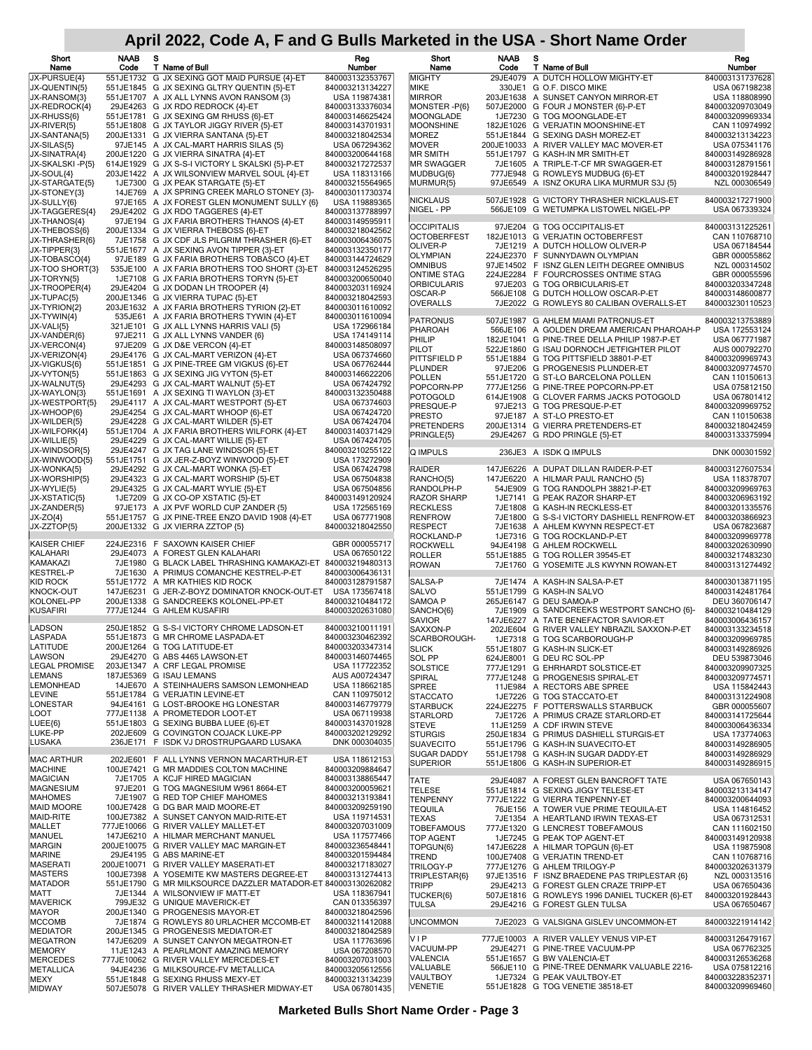| Short<br>Name                       | NAAB<br>Code | s | T Name of Bull                                                                                 | Reg<br>Number                      | Short<br>Name                          | <b>NAAB</b><br>Code | s | T Name of Bull                                                                        | Reg<br>Number                      |
|-------------------------------------|--------------|---|------------------------------------------------------------------------------------------------|------------------------------------|----------------------------------------|---------------------|---|---------------------------------------------------------------------------------------|------------------------------------|
| JX-PURSUE{4}                        |              |   | 551JE1732 G JX SEXING GOT MAID PURSUE {4}-ET                                                   | 840003132353767                    | <b>MIGHTY</b>                          |                     |   | 29JE4079 A DUTCH HOLLOW MIGHTY-ET                                                     | 840003131737628                    |
| JX-QUENTIN{5}                       |              |   | 551JE1845 G JX SEXING GLTRY QUENTIN {5}-ET                                                     | 840003213134227                    | MIKE                                   |                     |   | 330JE1 G O.F. DISCO MIKE                                                              | USA 067198238                      |
| JX-RANSOM{3}                        |              |   | 551JE1707 A JX ALL LYNNS AVON RANSOM {3}                                                       | USA 119874381                      | <b>MIRROR</b>                          |                     |   | 203JE1638 A SUNSET CANYON MIRROR-ET                                                   | USA 118808990                      |
| JX-REDROCK{4}<br>JX-RHUSS{6}        |              |   | 29JE4263 G JX RDO REDROCK {4}-ET<br>551JE1781 G JX SEXING GM RHUSS {6}-ET                      | 840003133376034<br>840003146625424 | MONSTER-P{6}<br>MOONGLADE              |                     |   | 507JE2000 G FOUR J MONSTER {6}-P-ET<br>1JE7230 G TOG MOONGLADE-ET                     | 840003209703049<br>840003209969334 |
| JX-RIVER{5}                         |              |   | 551JE1808 G JX TAYLOR JIGGY RIVER {5}-ET                                                       | 840003143701931                    | MOONSHINE                              |                     |   | 182JE1026 G VERJATIN MOONSHINE-ET                                                     | CAN 110974992                      |
| JX-SANTANA{5}                       |              |   | 200JE1331 G JX VIERRA SANTANA {5}-ET                                                           | 840003218042534                    | <b>MOREZ</b>                           |                     |   | 551JE1844 G SEXING DASH MOREZ-ET                                                      | 840003213134223                    |
| JX-SILAS{5}                         |              |   | 97JE145 A JX CAL-MART HARRIS SILAS {5}                                                         | USA 067294362                      | <b>MOVER</b>                           |                     |   | 200JE10033 A RIVER VALLEY MAC MOVER-ET                                                | USA 075341176                      |
| JX-SINATRA{4}<br>JX-SKALSKI -P{5}   |              |   | 200JE1220 G JX VIERRA SINATRA {4}-ET<br>614JE1929 G JX S-S-I VICTORY L SKALSKI {5}-P-ET        | 840003200644168<br>840003217272537 | <b>MR SMITH</b><br>MR SWAGGER          |                     |   | 551JE1797 G KASH-IN MR SMITH-ET<br>7JE1605 A TRIPLE-T-CF MR SWAGGER-ET                | 840003149286928<br>840003128791561 |
| JX-SOUL{4}                          |              |   | 203JE1422 A JX WILSONVIEW MARVEL SOUL {4}-ET                                                   | USA 118313166                      | MUDBUG{6}                              |                     |   | 777JE948 G ROWLEYS MUDBUG {6}-ET                                                      | 840003201928447                    |
| JX-STARGATE{5}                      |              |   | 1JE7300 G JX PEAK STARGATE {5}-ET                                                              | 840003215564965                    | MURMUR{5}                              |                     |   | 97JE6549 A ISNZ OKURA LIKA MURMUR S3J {5}                                             | NZL 000306549                      |
| JX-STONEY{3}<br>JX-SULLY{6}         |              |   | 14JE769 A JX SPRING CREEK MARLO STONEY {3}-<br>97JE165 A JX FOREST GLEN MONUMENT SULLY {6}     | 840003011730374<br>USA 119889365   | <b>NICKLAUS</b>                        |                     |   | 507JE1928 G VICTORY THRASHER NICKLAUS-ET                                              | 840003217271900                    |
| JX-TAGGERES{4}                      |              |   | 29JE4202 G JX RDO TAGGERES {4}-ET                                                              | 840003137788997                    | NIGEL - PP                             |                     |   | 566JE109 G WETUMPKA LISTOWEL NIGEL-PP                                                 | USA 067339324                      |
| JX-THANOS{4}                        |              |   | 97JE194 G JX FARIA BROTHERS THANOS {4}-ET                                                      | 840003149595911                    | <b>OCCIPITALIS</b>                     |                     |   |                                                                                       |                                    |
| JX-THEBOSS{6}                       |              |   | 200JE1334 G JX VIERRA THEBOSS {6}-ET                                                           | 840003218042562                    | <b>OCTOBERFEST</b>                     |                     |   | 97JE204 G TOG OCCIPITALIS-ET<br>182JE1013 G VERJATIN OCTOBERFEST                      | 840003131225261<br>CAN 110768710   |
| JX-THRASHER{6}<br>JX-TIPPER{3}      |              |   | 7JE1758 G JX CDF JLS PILGRIM THRASHER {6}-ET<br>551JE1677 A JX SEXING AVON TIPPER {3}-ET       | 840003006436075<br>840003132350177 | OLIVER-P                               |                     |   | 7JE1219 A DUTCH HOLLOW OLIVER-P                                                       | USA 067184544                      |
| JX-TOBASCO{4}                       |              |   | 97JE189 G JX FARIA BROTHERS TOBASCO {4}-ET                                                     | 840003144724629                    | <b>OLYMPIAN</b>                        |                     |   | 224JE2370 F SUNNYDAWN OLYMPIAN                                                        | GBR 000055862                      |
| JX-TOO SHORT{3}                     |              |   | 535JE100 A JX FARIA BROTHERS TOO SHORT {3}-ET                                                  | 840003124526295                    | <b>OMNIBUS</b><br><b>ONTIME STAG</b>   |                     |   | 97JE14502 F ISNZ GLEN LEITH DEGREE OMNIBUS<br>224JE2284 F FOURCROSSES ONTIME STAG     | NZL 000314502<br>GBR 000055596     |
| JX-TORYN{5}                         |              |   | 1JE7108 G JX FARIA BROTHERS TORYN {5}-ET                                                       | 840003200650040                    | <b>ORBICULARIS</b>                     |                     |   | 97JE203 G TOG ORBICULARIS-ET                                                          | 840003203347248                    |
| JX-TROOPER{4}<br>JX-TUPAC{5}        |              |   | 29JE4204 G JX DODAN LH TROOPER {4}<br>200JE1346 G JX VIERRA TUPAC {5}-ET                       | 840003203116924<br>840003218042593 | OSCAR-P                                |                     |   | 566JE108 G DUTCH HOLLOW OSCAR-P-ET                                                    | 840003148600877                    |
| JX-TYRION{2}                        |              |   | 203JE1632 A JX FARIA BROTHERS TYRION {2}-ET                                                    | 840003011610092                    | OVERALLS                               |                     |   | 7JE2022 G ROWLEYS 80 CALIBAN OVERALLS-ET                                              | 840003230110523                    |
| JX-TYWIN{4}                         |              |   | 535JE61 A JX FARIA BROTHERS TYWIN {4}-ET                                                       | 840003011610094                    | <b>PATRONUS</b>                        |                     |   | 507JE1987 G AHLEM MIAMI PATRONUS-ET                                                   | 840003213753889                    |
| JX-VALI{5}                          |              |   | 321JE101 G JX ALL LYNNS HARRIS VALI {5}                                                        | USA 172966184                      | PHAROAH                                |                     |   | 566JE106 A GOLDEN DREAM AMERICAN PHAROAH-P                                            | USA 172553124                      |
| JX-VANDER{6}<br>JX-VERCON{4}        |              |   | 97JE211 G JX ALL LYNNS VANDER {6}<br>97JE209 G JX D&E VERCON {4}-ET                            | USA 174149114<br>840003148508097   | PHILIP                                 |                     |   | 182JE1041 G PINE-TREE DELLA PHILIP 1987-P-ET                                          | USA 067771987                      |
| JX-VERIZON{4}                       |              |   | 29JE4176 G JX CAL-MART VERIZON {4}-ET                                                          | USA 067374660                      | PILOT<br><b>PITTSFIELD P</b>           |                     |   | 522JE1860 G ISAU DORNOCH JETFIGHTER PILOT<br>551JE1884 G TOG PITTSFIELD 38801-P-ET    | AUS 000792270<br>840003209969743   |
| JX-VIGKUS{6}                        |              |   | 551JE1851 G JX PINE-TREE GM VIGKUS {6}-ET                                                      | USA 067762444                      | PLUNDER                                |                     |   | 97JE206 G PROGENESIS PLUNDER-ET                                                       | 840003209774570                    |
| JX-VYTON{5}                         |              |   | 551JE1863 G JX SEXING JIG VYTON {5}-ET                                                         | 840003146622206                    | POLLEN                                 |                     |   | 551JE1720 G ST-LO BARCELONA POLLEN                                                    | CAN 110150613                      |
| JX-WALNUT{5}<br>JX-WAYLON{3}        |              |   | 29JE4293 G JX CAL-MART WALNUT {5}-ET<br>551JE1691 A JX SEXING TI WAYLON {3}-ET                 | USA 067424792<br>840003132350488   | POPCORN-PP                             |                     |   | 777JE1256 G PINE-TREE POPCORN-PP-ET                                                   | USA 075812150                      |
| JX-WESTPORT{5}                      |              |   | 29JE4117 A JX CAL-MART WESTPORT {5}-ET                                                         | USA 067374603                      | <b>POTOGOLD</b><br>PRESQUE-P           |                     |   | 614JE1908 G CLOVER FARMS JACKS POTOGOLD<br>97JE213 G TOG PRESQUE-P-ET                 | USA 067801412<br>840003209969752   |
| JX-WHOOP{6}                         |              |   | 29JE4254 G JX CAL-MART WHOOP {6}-ET                                                            | USA 067424720                      | <b>PRESTO</b>                          |                     |   | 97JE187 A ST-LO PRESTO-ET                                                             | CAN 110150638                      |
| JX-WILDER{5}                        |              |   | 29JE4228 G JX CAL-MART WILDER {5}-ET                                                           | USA 067424704                      | <b>PRETENDERS</b>                      |                     |   | 200JE1314 G VIERRA PRETENDERS-ET                                                      | 840003218042459                    |
| JX-WILFORK{4}<br>JX-WILLIE{5}       |              |   | 551JE1704 A JX FARIA BROTHERS WILFORK {4}-ET<br>29JE4229 G JX CAL-MART WILLIE {5}-ET           | 840003140371429<br>USA 067424705   | PRINGLE{5}                             |                     |   | 29JE4267 G RDO PRINGLE {5}-ET                                                         | 840003133375994                    |
| JX-WINDSOR{5}                       |              |   | 29JE4247 G JX TAG LANE WINDSOR {5}-ET                                                          | 840003210255122                    | Q IMPULS                               |                     |   | 236JE3 A ISDK Q IMPULS                                                                | DNK 000301592                      |
| JX-WINWOOD{5}                       |              |   | 551JE1751 G JX JER-Z-BOYZ WINWOOD {5}-ET                                                       | USA 173272909                      |                                        |                     |   |                                                                                       |                                    |
| JX-WONKA{5}<br>JX-WORSHIP{5}        |              |   | 29JE4292 G JX CAL-MART WONKA {5}-ET                                                            | USA 067424798<br>USA 067504838     | RAIDER<br>RANCHO{5}                    |                     |   | 147JE6226 A DUPAT DILLAN RAIDER-P-ET<br>147JE6220 A HILMAR PAUL RANCHO {5}            | 840003127607534<br>USA 118378707   |
| JX-WYLIE{5}                         |              |   | 29JE4323 G JX CAL-MART WORSHIP {5}-ET<br>29JE4325 G JX CAL-MART WYLIE {5}-ET                   | USA 067504856                      | RANDOLPH-P                             |                     |   | 54JE909 G TOG RANDOLPH 38821-P-ET                                                     | 840003209969763                    |
| JX-XSTATIC{5}                       |              |   | 1JE7209 G JX CO-OP XSTATIC {5}-ET                                                              | 840003149120924                    | <b>RAZOR SHARP</b>                     |                     |   | 1JE7141 G PEAK RAZOR SHARP-ET                                                         | 840003206963192                    |
| JX-ZANDER{5}                        |              |   | 97JE173 A JX PVF WORLD CUP ZANDER {5}                                                          | USA 172565169                      | <b>RECKLESS</b>                        |                     |   | 7JE1808 G KASH-IN RECKLESS-ET                                                         | 840003201335576                    |
| JX-ZO{4}                            |              |   | 551JE1757 G JX PINE-TREE ENZO DAVID 1908 {4}-ET                                                | USA 067771908<br>840003218042550   | <b>RENFROW</b><br><b>RESPECT</b>       |                     |   | 7JE1800 G S-S-I VICTORY DASHIELL RENFROW-ET<br>7JE1638 A AHLEM KWYNN RESPECT-ET       | 840003203866923                    |
| JX-ZZTOP{5}                         |              |   | 200JE1332 G JX VIERRA ZZTOP {5}                                                                |                                    | ROCKLAND-P                             |                     |   | 1JE7316 G TOG ROCKLAND-P-ET                                                           | USA 067823687<br>840003209969778   |
| KAISER CHIEF                        |              |   | 224JE2316 F SAXOWN KAISER CHIEF                                                                | GBR 000055717                      | <b>ROCKWELL</b>                        |                     |   | 94JE4198 G AHLEM ROCKWELL                                                             | 840003202630990                    |
| KALAHARI                            |              |   | 29JE4073 A FOREST GLEN KALAHARI<br>7JE1980 G BLACK LABEL THRASHING KAMAKAZI-ET 840003219480313 | USA 067650122                      | <b>ROLLER</b>                          |                     |   | 551JE1885 G TOG ROLLER 39545-ET                                                       | 840003217483230                    |
| KAMAKAZI<br><b>KESTREL-P</b>        |              |   | 7JE1630 A PRIMUS COMANCHE KESTREL-P-ET                                                         | 840003006436131                    | <b>ROWAN</b>                           |                     |   | 7JE1760 G YOSEMITE JLS KWYNN ROWAN-ET                                                 | 840003131274492                    |
| KID ROCK                            |              |   | 551JE1772 A MR KATHIES KID ROCK                                                                | 840003128791587                    | SALSA-P                                |                     |   | 7JE1474 A KASH-IN SALSA-P-ET                                                          | 840003013871195                    |
| KNOCK-OUT                           |              |   | 147JE6231 G JER-Z-BOYZ DOMINATOR KNOCK-OUT-ET USA 173567418                                    |                                    | <b>SALVO</b>                           |                     |   | 551JE1799 G KASH-IN SALVO                                                             | 840003142481764                    |
| KOLONEL-PP<br><b>KUSAFIRI</b>       |              |   | 200JE1338 G SANDCREEKS KOLONEL-PP-ET<br>777JE1244 G AHLEM KUSAFIRI                             | 840003210484172<br>840003202631080 | SAMOA P<br>SANCHO{6}                   |                     |   | 265JE6147 G DEU SAMOA-P<br>7JE1909 G SANDCREEKS WESTPORT SANCHO {6}-                  | DEU 360706147<br>840003210484129   |
|                                     |              |   |                                                                                                |                                    | <b>SAVIOR</b>                          |                     |   | 147JE6227 A TATE BENEFACTOR SAVIOR-ET                                                 | 840003006436157                    |
| LADSON                              |              |   | 250JE1852 G S-S-I VICTORY CHROME LADSON-ET                                                     | 840003210011191                    | SAXXON-P                               |                     |   | 202JE604 G RIVER VALLEY NBRAZIL SAXXON-P-ET                                           | 840003133234518                    |
| LASPADA<br>LATITUDE                 |              |   | 551JE1873 G MR CHROME LASPADA-ET<br>200JE1264 G TOG LATITUDE-ET                                | 840003230462392<br>840003203347314 | SCARBOROUGH-                           |                     |   | 1JE7318 G TOG SCARBOROUGH-P                                                           | 840003209969785                    |
| LAWSON                              |              |   | 29JE4270 G ABS 4465 LAWSON-ET                                                                  | 840003146074465                    | <b>SLICK</b><br><b>SOL PP</b>          |                     |   | 551JE1807 G KASH-IN SLICK-ET<br>624JE8001 G DEU RC SOL-PP                             | 840003149286926<br>DEU 539873046   |
| <b>LEGAL PROMISE</b>                |              |   | 203JE1347 A CRF LEGAL PROMISE                                                                  | USA 117722352                      | <b>SOLSTICE</b>                        |                     |   | 777JE1291 G EHRHARDT SOLSTICE-ET                                                      | 840003209907325                    |
| <b>LEMANS</b>                       |              |   | 187JE5369 G ISAU LEMANS                                                                        | AUS A00724347                      | <b>SPIRAL</b>                          |                     |   | 777JE1248 G PROGENESIS SPIRAL-ET                                                      | 840003209774571                    |
| <b>LEMONHEAD</b><br>LEVINE          |              |   | 14JE670 A STEINHAUERS SAMSON LEMONHEAD<br>551JE1784 G VERJATIN LEVINE-ET                       | USA 118662185<br>CAN 110975012     | <b>SPREE</b>                           |                     |   | 11JE984 A RECTORS ABE SPREE                                                           | USA 115842443                      |
| LONESTAR                            |              |   | 94JE4161 G LOST-BROOKE HG LONESTAR                                                             | 840003146779779                    | <b>STACCATO</b><br>STARBUCK            |                     |   | 1JE7226 G TOG STACCATO-ET<br>224JE2275 F POTTERSWALLS STARBUCK                        | 840003131224908<br>GBR 000055607   |
| LOOT                                |              |   | 777JE1138 A PROMETEDOR LOOT-ET                                                                 | USA 067119938                      | <b>STARLORD</b>                        |                     |   | 7JE1726 A PRIMUS CRAZE STARLORD-ET                                                    | 840003141725644                    |
| LUEE{6}                             |              |   | 551JE1803 G SEXING BUBBA LUEE {6}-ET                                                           | 840003143701928                    | <b>STEVE</b>                           |                     |   | 11JE1259 A CDF IRWIN STEVE                                                            | 840003006436334                    |
| LUKE-PP<br>LUSAKA                   |              |   | 202JE609 G COVINGTON COJACK LUKE-PP<br>236JE171 F ISDK VJ DROSTRUPGAARD LUSAKA                 | 840003202129292<br>DNK 000304035   | <b>STURGIS</b>                         |                     |   | 250JE1834 G PRIMUS DASHIELL STURGIS-ET                                                | USA 173774063                      |
|                                     |              |   |                                                                                                |                                    | <b>SUAVECITO</b><br><b>SUGAR DADDY</b> |                     |   | 551JE1796 G KASH-IN SUAVECITO-ET<br>551JE1798 G KASH-IN SUGAR DADDY-ET                | 840003149286905<br>840003149286929 |
| <b>MAC ARTHUR</b>                   |              |   | 202JE601 F ALL LYNNS VERNON MACARTHUR-ET                                                       | USA 118612153                      | <b>SUPERIOR</b>                        |                     |   | 551JE1806 G KASH-IN SUPERIOR-ET                                                       | 840003149286915                    |
| <b>MACHINE</b><br>MAGICIAN          |              |   | 100JE7421 G MR MADDIES COLTON MACHINE<br>7JE1705 A KCJF HIRED MAGICIAN                         | 840003209884647<br>840003138865447 |                                        |                     |   |                                                                                       |                                    |
| MAGNESIUM                           |              |   | 97JE201 G TOG MAGNESIUM W961 8664-ET                                                           | 840003200059621                    | <b>TATE</b><br><b>TELESE</b>           |                     |   | 29JE4087 A FOREST GLEN BANCROFT TATE<br>551JE1814 G SEXING JIGGY TELESE-ET            | USA 067650143<br>840003213134147   |
| <b>MAHOMES</b>                      |              |   | 7JE1907 G RED TOP CHIEF MAHOMES                                                                | 840003213193841                    | <b>TENPENNY</b>                        |                     |   | 777JE1222 G VIERRA TENPENNY-ET                                                        | 840003200644093                    |
| <b>MAID MOORE</b>                   |              |   | 100JE7428 G DG BAR MAID MOORE-ET                                                               | 840003209259190                    | <b>TEQUILA</b>                         |                     |   | 76JE156 A TOWER VUE PRIME TEQUILA-ET                                                  | USA 114816452                      |
| MAID-RITE<br>MALLET                 |              |   | 100JE7382 A SUNSET CANYON MAID-RITE-ET<br>777JE10066 G RIVER VALLEY MALLET-ET                  | USA 119714531<br>840003207031009   | <b>TEXAS</b>                           |                     |   | 7JE1354 A HEARTLAND IRWIN TEXAS-ET                                                    | USA 067312531                      |
| MANUEL                              |              |   | 147JE6210 A HILMAR MERCHANT MANUEL                                                             | USA 117577466                      | <b>TOBEFAMOUS</b><br><b>TOP AGENT</b>  |                     |   | 777JE1320 G LENCREST TOBEFAMOUS<br>1JE7245 G PEAK TOP AGENT-ET                        | CAN 111602150<br>840003149120938   |
| <b>MARGIN</b>                       |              |   | 200JE10075 G RIVER VALLEY MAC MARGIN-ET                                                        | 840003236548441                    | TOPGUN{6}                              |                     |   | 147JE6228 A HILMAR TOPGUN {6}-ET                                                      | USA 119875908                      |
| MARINE                              |              |   | 29JE4195 G ABS MARINE-ET                                                                       | 840003201594484                    | <b>TREND</b>                           |                     |   | 100JE7408 G VERJATIN TREND-ET                                                         | CAN 110768716                      |
| <b>MASERATI</b><br><b>MASTERS</b>   |              |   | 200JE10071 G RIVER VALLEY MASERATI-ET<br>100JE7398 A YOSEMITE KW MASTERS DEGREE-ET             | 840003217183027<br>840003131274413 | TRILOGY-P                              |                     |   | 777JE1276 G AHLEM TRILOGY-P                                                           | 840003202631379                    |
| <b>MATADOR</b>                      |              |   | 551JE1790 G MR MILKSOURCE DAZZLER MATADOR-ET 840003130262082                                   |                                    | TRIPLESTAR{6}<br><b>TRIPP</b>          |                     |   | 97JE13516 F ISNZ BRAEDENE PAS TRIPLESTAR {6}<br>29JE4213 G FOREST GLEN CRAZE TRIPP-ET | NZL 000313516<br>USA 067650436     |
| MATT                                |              |   | 7JE1344 A WILSONVIEW IF MATT-ET                                                                | USA 118367941                      | TUCKER{6}                              |                     |   | 507JE1816 G ROWLEYS 1996 DANIEL TUCKER {6}-ET                                         | 840003201928443                    |
| <b>MAVERICK</b>                     |              |   | 799JE32 G UNIQUE MAVERICK-ET                                                                   | CAN 013356397                      | <b>TULSA</b>                           |                     |   | 29JE4216 G FOREST GLEN TULSA                                                          | USA 067650467                      |
| MAYOR<br><b>MCCOMB</b>              |              |   | 200JE1340 G PROGENESIS MAYOR-ET<br>7JE1874 G ROWLEYS 80 URLACHER MCCOMB-ET                     | 840003218042596<br>840003211412088 | <b>UNCOMMON</b>                        |                     |   | 7JE2023 G VALSIGNA GISLEV UNCOMMON-ET                                                 | 840003221914142                    |
| <b>MEDIATOR</b>                     |              |   | 200JE1345 G PROGENESIS MEDIATOR-ET                                                             | 840003218042589                    |                                        |                     |   |                                                                                       |                                    |
| <b>MEGATRON</b>                     |              |   | 147JE6209 A SUNSET CANYON MEGATRON-ET                                                          | USA 117763696                      | VIP                                    |                     |   | 777JE10003 A RIVER VALLEY VENUS VIP-ET                                                | 840003126479167                    |
| <b>MEMORY</b>                       |              |   | 11JE1243 A PEARLMONT AMAZING MEMORY                                                            | USA 067208570                      | VACUUM-PP<br>VALENCIA                  |                     |   | 29JE4271 G PINE-TREE VACUUM-PP<br>551JE1657 G BW VALENCIA-ET                          | USA 067762325<br>840003126536268   |
| <b>MERCEDES</b><br><b>METALLICA</b> |              |   | 777JE10062 G RIVER VALLEY MERCEDES-ET<br>94JE4236 G MILKSOURCE-FV METALLICA                    | 840003207031003<br>840003205612556 | VALUABLE                               |                     |   | 566JE110 G PINE-TREE DENMARK VALUABLE 2216-                                           | USA 075812216                      |
| MEXY                                |              |   | 551JE1848 G SEXING RHUSS MEXY-ET                                                               | 840003213134239                    | VAULTBOY                               |                     |   | 1JE7324 G PEAK VAULTBOY-ET                                                            | 840003228352371                    |
| MIDWAY                              |              |   | 507JE5078 G RIVER VALLEY THRASHER MIDWAY-ET                                                    | USA 067801435                      | VENETIE                                |                     |   | 551JE1828 G TOG VENETIE 38518-ET                                                      | 840003209969460                    |